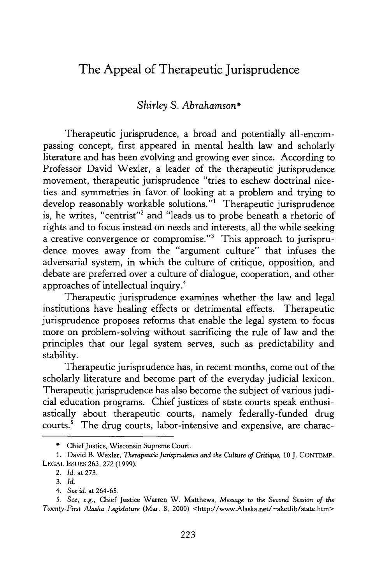## The Appeal of Therapeutic Jurisprudence

## *Shirley S. Abrahamson\**

Therapeutic jurisprudence, a broad and potentially all-encompassing concept, first appeared in mental health law and scholarly literature and has been evolving and growing ever since. According to Professor David Wexler, a leader of the therapeutic jurisprudence movement, therapeutic jurisprudence "tries to eschew doctrinal niceties and symmetries in favor of looking at a problem and trying to develop reasonably workable solutions."<sup>1</sup> Therapeutic jurisprudence is, he writes, "centrist"<sup>2</sup> and "leads us to probe beneath a rhetoric of rights and to focus instead on needs and interests, all the while seeking a creative convergence or compromise."<sup>3</sup> This approach to jurisprudence moves away from the "argument culture" that infuses the adversarial system, in which the culture of critique, opposition, and debate are preferred over a culture of dialogue, cooperation, and other approaches of intellectual inquiry. <sup>4</sup>

Therapeutic jurisprudence examines whether the law and legal institutions have healing effects or detrimental effects. Therapeutic jurisprudence proposes reforms that enable the legal system to focus more on problem-solving without sacrificing the rule of law and the principles that our legal system serves, such as predictability and stability.

Therapeutic jurisprudence has, in recent months, come out of the scholarly literature and become part of the everyday judicial lexicon. Therapeutic jurisprudence has also become the subject of various judicial education programs. Chief justices of state courts speak enthusiastically about therapeutic courts, namely federally-funded drug courts.<sup>5</sup> The drug courts, labor-intensive and expensive, are charac-

<sup>\*</sup> Chief Justice, Wisconsin Supreme Court.

<sup>1.</sup> David B. Wexler, *Therapeutic Jurisprudence and the Culture of Critique,* 10 J. CONTEMP. LEGAL **ISSUES** 263, 272 (1999).

<sup>2.</sup> *Id.* at 273.

<sup>3.</sup> *Id.*

*<sup>4.</sup> See id.* at 264-65.

<sup>5.</sup> *See, e.g.,* Chief Justice Warren W. Matthews, *Message to the Second Session of the Twenty-First Alaska Legislature* (Mar. 8, 2000) <http://www.Alaska.net/-akctlib/state.htm>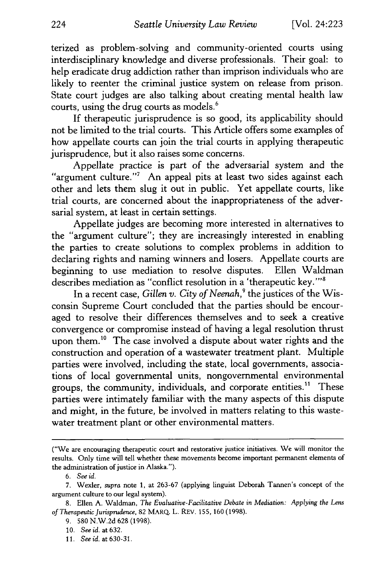terized as problem-solving and community-oriented courts using interdisciplinary knowledge and diverse professionals. Their goal: to help eradicate drug addiction rather than imprison individuals who are likely to reenter the criminal justice system on release from prison. State court judges are also talking about creating mental health law courts, using the drug courts as models.<sup>6</sup>

If therapeutic jurisprudence is so good, its applicability should not be limited to the trial courts. This Article offers some examples of how appellate courts can join the trial courts in applying therapeutic jurisprudence, but it also raises some concerns.

Appellate practice is part of the adversarial system and the "argument culture."<sup>7</sup> An appeal pits at least two sides against each other and lets them slug it out in public. Yet appellate courts, like trial courts, are concerned about the inappropriateness of the adversarial system, at least in certain settings.

Appellate judges are becoming more interested in alternatives to the "argument culture"; they are increasingly interested in enabling the parties to create solutions to complex problems in addition to declaring rights and naming winners and losers. Appellate courts are beginning to use mediation to resolve disputes. Ellen Waldman describes mediation as "conflict resolution in a 'therapeutic key.'"

In a recent case, *Gillen v. City of Neenah*,<sup>9</sup> the justices of the Wisconsin Supreme Court concluded that the parties should be encouraged to resolve their differences themselves and to seek a creative convergence or compromise instead of having a legal resolution thrust upon them.<sup>10</sup> The case involved a dispute about water rights and the construction and operation of a wastewater treatment plant. Multiple parties were involved, including the state, local governments, associations of local governmental units, nongovernmental environmental groups, the community, individuals, and corporate entities.<sup>11</sup> These parties were intimately familiar with the many aspects of this dispute and might, in the future, be involved in matters relating to this wastewater treatment plant or other environmental matters.

<sup>(&</sup>quot;We are encouraging therapeutic court and restorative justice initiatives. We will monitor the results. Only time will tell whether these movements become important permanent elements of the administration of justice in Alaska.").

*<sup>6.</sup> See id.*

<sup>7.</sup> Wexler, *supra* note **1,** at 263-67 (applying linguist Deborah Tannen's concept of the argument culture to our legal system).

<sup>8.</sup> Ellen A. Waldman, *The Evaluative-Facilitative Debate in Mediation: Applying the Lens of Therapeutic Jurisprudence,* 82 MARQ. L. REV. 155,160 (1998).

<sup>9.</sup> **580** N.W.2d 628 (1998).

**<sup>10.</sup>** Seeid.at632.

<sup>11.</sup> *Seeid.* at630-31.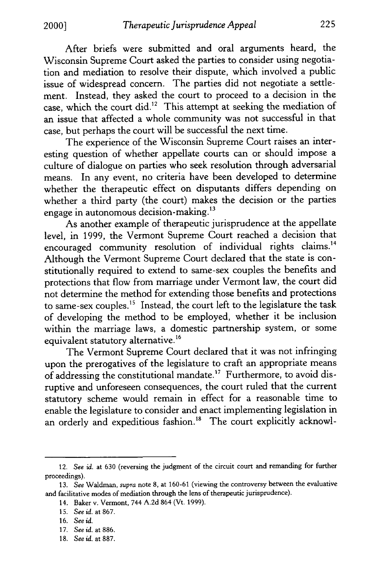After briefs were submitted and oral arguments heard, the Wisconsin Supreme Court asked the parties to consider using negotiation and mediation to resolve their dispute, which involved a public issue of widespread concern. The parties did not negotiate a settlement. Instead, they asked the court to proceed to a decision in the case, which the court did.<sup>12</sup> This attempt at seeking the mediation of an issue that affected a whole community was not successful in that case, but perhaps the court will be successful the next time.

The experience of the Wisconsin Supreme Court raises an interesting question of whether appellate courts can or should impose a culture of dialogue on parties who seek resolution through adversarial means. In any event, no criteria have been developed to determine whether the therapeutic effect on disputants differs depending on whether a third party (the court) makes the decision or the parties engage in autonomous decision-making. $13$ 

As another example of therapeutic jurisprudence at the appellate level, in 1999, the Vermont Supreme Court reached a decision that encouraged community resolution of individual rights claims.<sup>14</sup> Although the Vermont Supreme Court declared that the state is constitutionally required to extend to same-sex couples the benefits and protections that flow from marriage under Vermont law, the court did not determine the method for extending those benefits and protections to same-sex couples.<sup>15</sup> Instead, the court left to the legislature the task of developing the method to be employed, whether it be inclusion within the marriage laws, a domestic partnership system, or some equivalent statutory alternative. <sup>16</sup>

The Vermont Supreme Court declared that it was not infringing upon the prerogatives of the legislature to craft an appropriate means of addressing the constitutional mandate.17 Furthermore, to avoid disruptive and unforeseen consequences, the court ruled that the current statutory scheme would remain in effect for a reasonable time to enable the legislature to consider and enact implementing legislation in an orderly and expeditious fashion.<sup>18</sup> The court explicitly acknowl-

<sup>12.</sup> *See id.* at 630 (reversing the judgment of the circuit court and remanding for further proceedings).

<sup>13.</sup> *See* Waldman, *supra* note 8, at 160-61 (viewing the controversy between the evaluative and facilitative modes of mediation through the lens of therapeutic jurisprudence).

<sup>14.</sup> Baker v. Vermont, 744 A.2d 864 (Vt. 1999).

<sup>15.</sup> *Seeid.* at867.

<sup>16.</sup> *See id.*

<sup>17.</sup> *Seeid.* at886.

<sup>18.</sup> *Seeid.* at 887.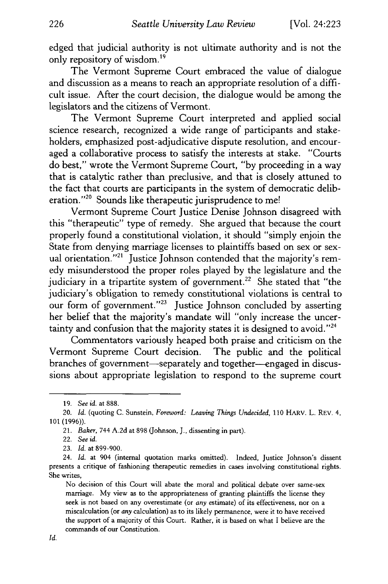edged that judicial authority is not ultimate authority and is not the only repository of wisdom.19

The Vermont Supreme Court embraced the value of dialogue and discussion as a means to reach an appropriate resolution of a difficult issue. After the court decision, the dialogue would be among the legislators and the citizens of Vermont.

The Vermont Supreme Court interpreted and applied social science research, recognized a wide range of participants and stakeholders, emphasized post-adjudicative dispute resolution, and encouraged a collaborative process to satisfy the interests at stake. "Courts do best," wrote the Vermont Supreme Court, "by proceeding in a way that is catalytic rather than preclusive, and that is closely attuned to the fact that courts are participants in the system of democratic deliberation."<sup>20</sup> Sounds like therapeutic jurisprudence to me!

Vermont Supreme Court Justice Denise Johnson disagreed with this "therapeutic" type of remedy. She argued that because the court properly found a constitutional violation, it should "simply enjoin the State from denying marriage licenses to plaintiffs based on sex or sexual orientation."<sup>21</sup> Justice Johnson contended that the majority's remedy misunderstood the proper roles played by the legislature and the judiciary in a tripartite system of government.<sup>22</sup> She stated that "the judiciary's obligation to remedy constitutional violations is central to our form of government. **"23** Justice Johnson concluded by asserting her belief that the majority's mandate will "only increase the uncertainty and confusion that the majority states it is designed to avoid." $24$ 

Commentators variously heaped both praise and criticism on the Vermont Supreme Court decision. The public and the political branches of government-separately and together-engaged in discussions about appropriate legislation to respond to the supreme court

<sup>19.</sup> *See id.* at 888.

<sup>20.</sup> *Id.* (quoting C. Sunstein, *Foreword: Leaving Things Undecided,* 110 HARv. L. REV. *4,* 101 (1996)).

*<sup>21.</sup> Baker,* 744 A.2d at 898 (Johnson, J., dissenting in part).

<sup>22.</sup> *See id.*

<sup>23.</sup> *Id.* at 899-900.

<sup>24.</sup> *Id.* at 904 (internal quotation marks omitted). Indeed, Justice Johnson's dissent presents a critique of fashioning therapeutic remedies in cases involving constitutional rights. She writes,

No decision of this Court will abate the moral and political debate over same-sex marriage. My view as to the appropriateness of granting plaintiffs the license they seek is not based on any overestimate (or *any* estimate) of its effectiveness, nor on a miscalculation (or *any* calculation) as to its likely permanence, were it to have received the support of a majority of this Court. Rather, it is based on what I believe are the commands of our Constitution.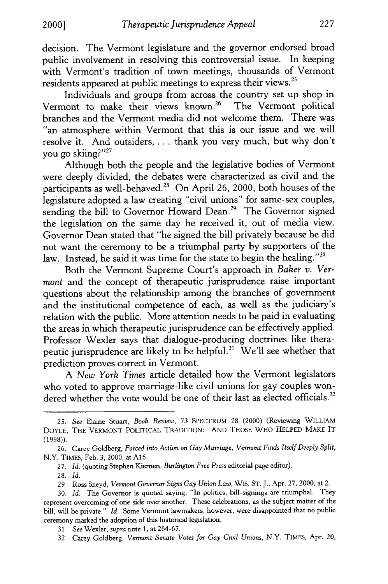decision. The Vermont legislature and the governor endorsed broad public involvement in resolving this controversial issue. In keeping with Vermont's tradition of town meetings, thousands of Vermont residents appeared at public meetings to express their views.25

Individuals and groups from across the country set up shop in Vermont to make their views known.26 The Vermont political branches and the Vermont media did not welcome them. There was "an atmosphere within Vermont that this is our issue and we will resolve it. And outsiders .... thank you very much, but why don't you go skiing?"<sup>27</sup>

Although both the people and the legislative bodies of Vermont were deeply divided, the debates were characterized as civil and the participants as well-behaved.<sup>28</sup> On April 26, 2000, both houses of the legislature adopted a law creating "civil unions" for same-sex couples, sending the bill to Governor Howard Dean.<sup>29</sup> The Governor signed the legislation on the same day he received it, out of media view. Governor Dean stated that "he signed the bill privately because he did not want the ceremony to be a triumphal party by supporters of the law. Instead, he said it was time for the state to begin the healing."<sup>30</sup>

Both the Vermont Supreme Court's approach in *Baker v. Vermont* and the concept of therapeutic jurisprudence raise important questions about the relationship among the branches of government and the institutional competence of each, as well as the judiciary's relation with the public. More attention needs to be paid in evaluating the areas in which therapeutic jurisprudence can be effectively applied. Professor Wexler says that dialogue-producing doctrines like therapeutic jurisprudence are likely to be helpful.<sup>31</sup> We'll see whether that prediction proves correct in Vermont.

A *New York Times* article detailed how the Vermont legislators who voted to approve marriage-like civil unions for gay couples wondered whether the vote would be one of their last as elected officials.<sup>32</sup>

32. Carey Goldberg, *Vermont Senate Votes for Gay Civil Unions,* N.Y. TIMES, Apr. 20,

<sup>25.</sup> *See* Elaine Stuart, *Book Review,* 73 SPECTRUM 28 (2000) (Reviewing WILLIAM DOYLE, THE VERMONT POLITICAL TRADITION: AND THOSE WHO HELPED MAKE IT (1998)).

<sup>26.</sup> Carey Goldberg, *Forced into Action on Gay Marriage, Vermont Finds Itself Deeply Split,* N.Y. TIMES, Feb. 3, 2000, at A16.

<sup>27.</sup> *Id.* (quoting Stephen Kiernen, *Burlington Free Press* editorial page editor).

<sup>28.</sup> *Id.*

<sup>29.</sup> Ross Sneyd, *Vermont Governor Signs Gay Union Law,* WIS. ST. J., Apr. 27, 2000, at 2.

<sup>30.</sup> *Id.* The Governor is quoted saying, "In politics, bill-signings are triumphal. They represent overcoming of one side over another. These celebrations, as the subject matter of the bill, will be private." *Id.* Some Vermont lawmakers, however, were disappointed that no public ceremony marked the adoption of this historical legislation.

<sup>31.</sup> *See* Wexler, *supra* note 1, at 264-67.